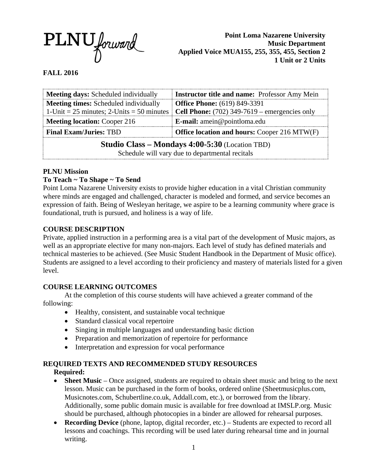

**Point Loma Nazarene University Music Department Applied Voice MUA155, 255, 355, 455, Section 2 1 Unit or 2 Units**

# **FALL 2016**

| <b>Meeting days:</b> Scheduled individually                                                               | <b>Instructor title and name:</b> Professor Amy Mein   |
|-----------------------------------------------------------------------------------------------------------|--------------------------------------------------------|
| <b>Meeting times:</b> Scheduled individually                                                              | <b>Office Phone:</b> (619) 849-3391                    |
| 1-Unit = 25 minutes; 2-Units = 50 minutes                                                                 | <b>Cell Phone:</b> $(702)$ 349-7619 – emergencies only |
| <b>Meeting location: Cooper 216</b>                                                                       | <b>E-mail:</b> amein@pointloma.edu                     |
| <b>Final Exam/Juries: TBD</b><br><b>Office location and hours: Cooper 216 MTW(F)</b>                      |                                                        |
| <b>Studio Class – Mondays 4:00-5:30</b> (Location TBD)<br>Schedule will vary due to departmental recitals |                                                        |

### **PLNU Mission**

## **To Teach ~ To Shape ~ To Send**

Point Loma Nazarene University exists to provide higher education in a vital Christian community where minds are engaged and challenged, character is modeled and formed, and service becomes an expression of faith. Being of Wesleyan heritage, we aspire to be a learning community where grace is foundational, truth is pursued, and holiness is a way of life.

### **COURSE DESCRIPTION**

Private, applied instruction in a performing area is a vital part of the development of Music majors, as well as an appropriate elective for many non-majors. Each level of study has defined materials and technical masteries to be achieved. (See Music Student Handbook in the Department of Music office). Students are assigned to a level according to their proficiency and mastery of materials listed for a given level.

### **COURSE LEARNING OUTCOMES**

At the completion of this course students will have achieved a greater command of the following:

- Healthy, consistent, and sustainable vocal technique
- Standard classical vocal repertoire
- Singing in multiple languages and understanding basic diction
- Preparation and memorization of repertoire for performance
- Interpretation and expression for vocal performance

### **REQUIRED TEXTS AND RECOMMENDED STUDY RESOURCES**

### **Required:**

- **Sheet Music** Once assigned, students are required to obtain sheet music and bring to the next lesson. Music can be purchased in the form of books, ordered online (Sheetmusicplus.com, Musicnotes.com, Schubertline.co.uk, Addall.com, etc.), or borrowed from the library. Additionally, some public domain music is available for free download at IMSLP.org. Music should be purchased, although photocopies in a binder are allowed for rehearsal purposes.
- **Recording Device** (phone, laptop, digital recorder, etc.) Students are expected to record all lessons and coachings. This recording will be used later during rehearsal time and in journal writing.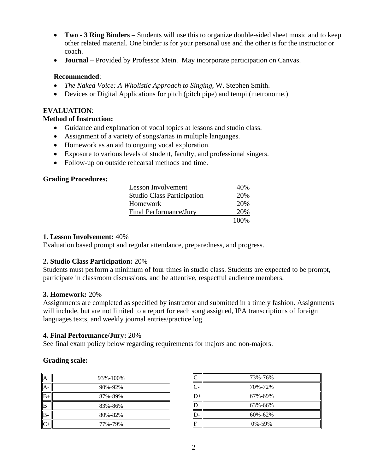- **Two - 3 Ring Binders** Students will use this to organize double-sided sheet music and to keep other related material. One binder is for your personal use and the other is for the instructor or coach.
- **Journal** Provided by Professor Mein. May incorporate participation on Canvas.

### **Recommended**:

- *The Naked Voice: A Wholistic Approach to Singing*, W. Stephen Smith.
- Devices or Digital Applications for pitch (pitch pipe) and tempi (metronome.)

### **EVALUATION**:

### **Method of Instruction:**

- Guidance and explanation of vocal topics at lessons and studio class.
- Assignment of a variety of songs/arias in multiple languages.
- Homework as an aid to ongoing vocal exploration.
- Exposure to various levels of student, faculty, and professional singers.
- Follow-up on outside rehearsal methods and time.

### **Grading Procedures:**

| Lesson Involvement                | 40%   |
|-----------------------------------|-------|
| <b>Studio Class Participation</b> | 20%   |
| Homework                          | 20%   |
| Final Performance/Jury            | 20%   |
|                                   | 100\% |

### **1. Lesson Involvement:** 40%

Evaluation based prompt and regular attendance, preparedness, and progress.

## **2. Studio Class Participation:** 20%

Students must perform a minimum of four times in studio class. Students are expected to be prompt, participate in classroom discussions, and be attentive, respectful audience members.

### **3. Homework:** 20%

Assignments are completed as specified by instructor and submitted in a timely fashion. Assignments will include, but are not limited to a report for each song assigned, IPA transcriptions of foreign languages texts, and weekly journal entries/practice log.

### **4. Final Performance/Jury:** 20%

See final exam policy below regarding requirements for majors and non-majors.

### **Grading scale:**

| А  | 93%-100% |
|----|----------|
| А  | 90%-92%  |
| B- | 87%-89%  |
| B  | 83%-86%  |
| B. | 80%-82%  |
|    | 77%-79%  |

| C             | 73%-76%      |
|---------------|--------------|
| $\mathcal{C}$ | 70%-72%      |
|               | 67%-69%      |
| ID            | 63%-66%      |
| D             | 60%-62%      |
| F             | $0\% - 59\%$ |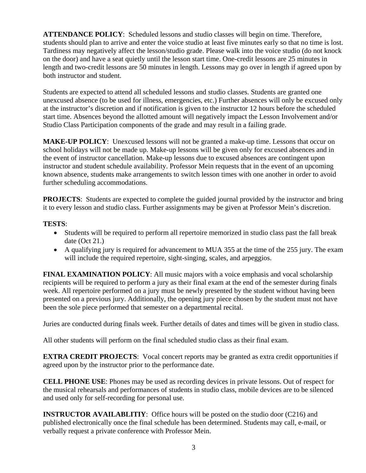**ATTENDANCE POLICY**: Scheduled lessons and studio classes will begin on time. Therefore, students should plan to arrive and enter the voice studio at least five minutes early so that no time is lost. Tardiness may negatively affect the lesson/studio grade. Please walk into the voice studio (do not knock on the door) and have a seat quietly until the lesson start time. One-credit lessons are 25 minutes in length and two-credit lessons are 50 minutes in length. Lessons may go over in length if agreed upon by both instructor and student.

Students are expected to attend all scheduled lessons and studio classes. Students are granted one unexcused absence (to be used for illness, emergencies, etc.) Further absences will only be excused only at the instructor's discretion and if notification is given to the instructor 12 hours before the scheduled start time. Absences beyond the allotted amount will negatively impact the Lesson Involvement and/or Studio Class Participation components of the grade and may result in a failing grade.

**MAKE-UP POLICY**: Unexcused lessons will not be granted a make-up time. Lessons that occur on school holidays will not be made up. Make-up lessons will be given only for excused absences and in the event of instructor cancellation. Make-up lessons due to excused absences are contingent upon instructor and student schedule availability. Professor Mein requests that in the event of an upcoming known absence, students make arrangements to switch lesson times with one another in order to avoid further scheduling accommodations.

**PROJECTS:** Students are expected to complete the guided journal provided by the instructor and bring it to every lesson and studio class. Further assignments may be given at Professor Mein's discretion.

# **TESTS**:

- Students will be required to perform all repertoire memorized in studio class past the fall break date (Oct 21.)
- A qualifying jury is required for advancement to MUA 355 at the time of the 255 jury. The exam will include the required repertoire, sight-singing, scales, and arpeggios.

**FINAL EXAMINATION POLICY**: All music majors with a voice emphasis and vocal scholarship recipients will be required to perform a jury as their final exam at the end of the semester during finals week. All repertoire performed on a jury must be newly presented by the student without having been presented on a previous jury. Additionally, the opening jury piece chosen by the student must not have been the sole piece performed that semester on a departmental recital.

Juries are conducted during finals week. Further details of dates and times will be given in studio class.

All other students will perform on the final scheduled studio class as their final exam.

**EXTRA CREDIT PROJECTS:** Vocal concert reports may be granted as extra credit opportunities if agreed upon by the instructor prior to the performance date.

**CELL PHONE USE**: Phones may be used as recording devices in private lessons. Out of respect for the musical rehearsals and performances of students in studio class, mobile devices are to be silenced and used only for self-recording for personal use.

**INSTRUCTOR AVAILABLITIY:** Office hours will be posted on the studio door (C216) and published electronically once the final schedule has been determined. Students may call, e-mail, or verbally request a private conference with Professor Mein.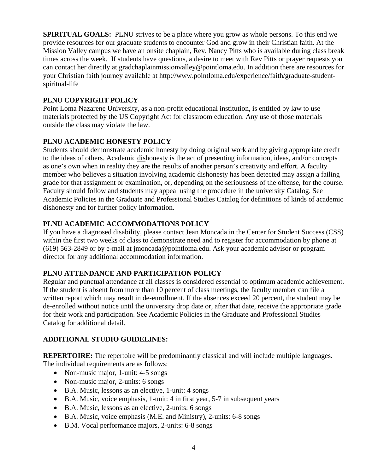**SPIRITUAL GOALS:** PLNU strives to be a place where you grow as whole persons. To this end we provide resources for our graduate students to encounter God and grow in their Christian faith. At the Mission Valley campus we have an onsite chaplain, Rev. Nancy Pitts who is available during class break times across the week. If students have questions, a desire to meet with Rev Pitts or prayer requests you can contact her directly at gradchaplainmissionvalley@pointloma.edu. In addition there are resources for your Christian faith journey available at http://www.pointloma.edu/experience/faith/graduate-studentspiritual-life

# **PLNU COPYRIGHT POLICY**

Point Loma Nazarene University, as a non-profit educational institution, is entitled by law to use materials protected by the US Copyright Act for classroom education. Any use of those materials outside the class may violate the law.

# **PLNU ACADEMIC HONESTY POLICY**

Students should demonstrate academic honesty by doing original work and by giving appropriate credit to the ideas of others. Academic dishonesty is the act of presenting information, ideas, and/or concepts as one's own when in reality they are the results of another person's creativity and effort. A faculty member who believes a situation involving academic dishonesty has been detected may assign a failing grade for that assignment or examination, or, depending on the seriousness of the offense, for the course. Faculty should follow and students may appeal using the procedure in the university Catalog. See Academic Policies in the Graduate and Professional Studies Catalog for definitions of kinds of academic dishonesty and for further policy information.

# **PLNU ACADEMIC ACCOMMODATIONS POLICY**

If you have a diagnosed disability, please contact Jean Moncada in the Center for Student Success (CSS) within the first two weeks of class to demonstrate need and to register for accommodation by phone at (619) 563-2849 or by e-mail at jmoncada@pointloma.edu. Ask your academic advisor or program director for any additional accommodation information.

## **PLNU ATTENDANCE AND PARTICIPATION POLICY**

Regular and punctual attendance at all classes is considered essential to optimum academic achievement. If the student is absent from more than 10 percent of class meetings, the faculty member can file a written report which may result in de-enrollment. If the absences exceed 20 percent, the student may be de-enrolled without notice until the university drop date or, after that date, receive the appropriate grade for their work and participation. See Academic Policies in the Graduate and Professional Studies Catalog for additional detail.

## **ADDITIONAL STUDIO GUIDELINES:**

**REPERTOIRE:** The repertoire will be predominantly classical and will include multiple languages. The individual requirements are as follows:

- Non-music major, 1-unit: 4-5 songs
- Non-music major, 2-units: 6 songs
- B.A. Music, lessons as an elective, 1-unit: 4 songs
- B.A. Music, voice emphasis, 1-unit: 4 in first year, 5-7 in subsequent years
- B.A. Music, lessons as an elective, 2-units: 6 songs
- B.A. Music, voice emphasis (M.E. and Ministry), 2-units: 6-8 songs
- B.M. Vocal performance majors, 2-units: 6-8 songs